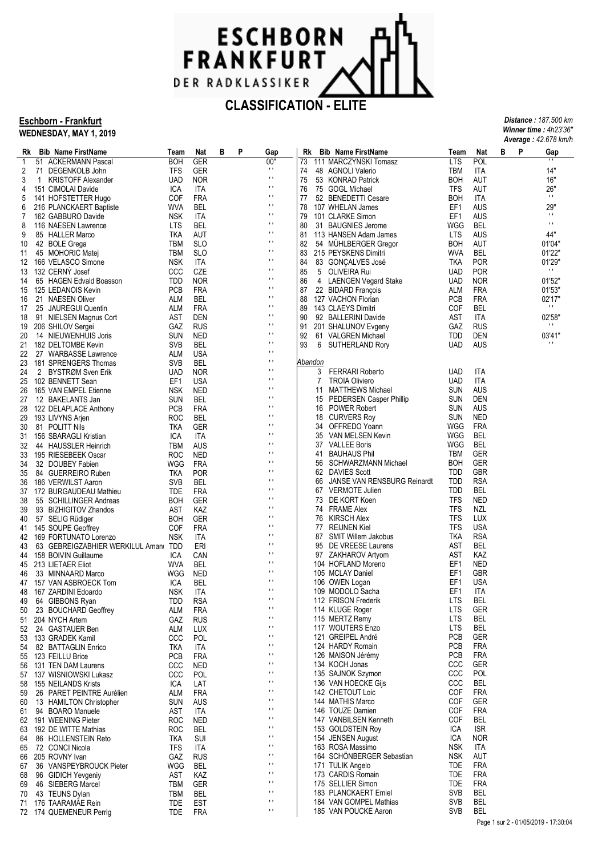

#### **Eschborn - Frankfurt WEDNESDAY, MAY 1, 2019**

|    | Average: 42.678 km/h |                                     |            |            |   |   |                |         |                                            |            |            |   |   |                |
|----|----------------------|-------------------------------------|------------|------------|---|---|----------------|---------|--------------------------------------------|------------|------------|---|---|----------------|
| Rk |                      | <b>Bib Name FirstName</b>           | Team       | Nat        | В | P | Gap            | Rk      | <b>Bib Name FirstName</b>                  | Team       | Nat        | в | P | Gap            |
| 1  |                      | 51 ACKERMANN Pascal                 | <b>BOH</b> | GER        |   |   | 00"            | 73      | 111 MARCZYNSKI Tomasz                      | <b>LTS</b> | <b>POL</b> |   |   |                |
| 2  |                      | 71 DEGENKOLB John                   | TFS        | GER        |   |   | $\mathbf{H}$   | 74      | 48 AGNOLI Valerio                          | TBM        | ITA        |   |   | 14"            |
| 3  | 1                    | <b>KRISTOFF Alexander</b>           | <b>UAD</b> | <b>NOR</b> |   |   | $\mathbf{H}$   | 75      | 53 KONRAD Patrick                          | <b>BOH</b> | AUT        |   |   | 16"            |
| 4  |                      | 151 CIMOLAI Davide                  | ICA        | ITA        |   |   | $\mathbf{r}$   | 76      | 75 GOGL Michael                            | TFS        | AUT        |   |   | 26"            |
| 5  |                      | 141 HOFSTETTER Hugo                 | COF        | <b>FRA</b> |   |   | $\mathbf{r}$   | 77      | 52 BENEDETTI Cesare                        | <b>BOH</b> | ITA        |   |   | $\mathbf{H}$   |
| 6  |                      | 216 PLANCKAERT Baptiste             | WVA        | <b>BEL</b> |   |   | $\mathbf{r}$   | 78      | 107 WHELAN James                           | EF1        | AUS        |   |   | 29"            |
| 7  |                      | 162 GABBURO Davide                  | <b>NSK</b> | ITA        |   |   | $\mathbf{H}$   | 79      | 101 CLARKE Simon                           | EF1        | AUS        |   |   | $\pm$          |
| 8  |                      | 116 NAESEN Lawrence                 | <b>LTS</b> | <b>BEL</b> |   |   | $\mathbf{r}$   | 80      | 31 BAUGNIES Jerome                         | WGG        | <b>BEL</b> |   |   | $\blacksquare$ |
| 9  |                      | 85 HALLER Marco                     | tka        | AUT        |   |   | $\mathbf{H}$   | 81      | 113 HANSEN Adam James                      | <b>LTS</b> | AUS        |   |   | 44"            |
| 10 |                      | 42 BOLE Grega                       | TBM        | <b>SLO</b> |   |   | $\mathbf{H}$   | 82      | 54 MUHLBERGER Gregor                       | <b>BOH</b> | AUT        |   |   | 01'04"         |
| 11 |                      | 45 MOHORIC Matej                    | TBM        | <b>SLO</b> |   |   | $\mathbf{H}$   | 83      | 215 PEYSKENS Dimitri                       | <b>WVA</b> | BEL        |   |   | 01'22"         |
| 12 |                      | 166 VELASCO Simone                  | <b>NSK</b> | ITA        |   |   | $\mathbf{r}$   | 84      | 83 GONÇALVES José                          | TKA        | <b>POR</b> |   |   | 01'29"         |
| 13 |                      | 132 CERNÝ Josef                     | CCC        | CZE        |   |   | $\mathbf{H}$   | 85      | 5 OLIVEIRA Rui                             | <b>UAD</b> | <b>POR</b> |   |   | $\mathbf{H}$   |
| 14 |                      | 65 HAGEN Edvald Boasson             | <b>TDD</b> | <b>NOR</b> |   |   | $\mathbf{H}$   | 86      | 4 LAENGEN Vegard Stake                     | <b>UAD</b> | <b>NOR</b> |   |   | 01'52"         |
| 15 |                      | 125 LEDANOIS Kevin                  | <b>PCB</b> | <b>FRA</b> |   |   | $\mathbf{H}$   | 87      | 22 BIDARD François                         | ALM        | FRA        |   |   | 01'53"         |
| 16 |                      | 21 NAESEN Oliver                    | ALM        | BEL        |   |   | $\mathbf{r}$   | 88      | 127 VACHON Florian                         | PCB        | <b>FRA</b> |   |   | 02'17"         |
| 17 |                      | 25 JAUREGUI Quentin                 | ALM        | <b>FRA</b> |   |   | $\mathbf{r}$   | 89      | 143 CLAEYS Dimitri                         | <b>COF</b> | <b>BEL</b> |   |   | $\mathbf{H}$   |
| 18 |                      | 91 NIELSEN Magnus Cort              | AST        | DEN        |   |   | $\mathbf{r}$   | 90      | 92 BALLERINI Davide                        | AST        | ITA        |   |   | 02'58"         |
| 19 |                      | 206 SHILOV Sergei                   | GAZ        | <b>RUS</b> |   |   | $\mathbf{H}$   | 91      | 201 SHALUNOV Evgeny                        | GAZ        | <b>RUS</b> |   |   | $\mathbf{H}$   |
| 20 |                      | 14 NIEUWENHUIS Joris                | <b>SUN</b> | NED        |   |   | $\mathbf{r}$   | 92      | 61 VALGREN Michael                         | TDD        | DEN        |   |   | 03'41"         |
| 21 |                      | 182 DELTOMBE Kevin                  | <b>SVB</b> | <b>BEL</b> |   |   | $\mathbf{r}$   | 93<br>6 | SUTHERLAND Rory                            | UAD        | AUS        |   |   | $\mathbf{H}$   |
| 22 |                      | 27 WARBASSE Lawrence                | ALM        | USA        |   |   | $\mathbf{r}$   |         |                                            |            |            |   |   |                |
| 23 |                      | 181 SPRENGERS Thomas                | SVB        | <b>BEL</b> |   |   | $\mathbf{H}$   | Abandon |                                            |            |            |   |   |                |
| 24 |                      | 2 BYSTRØM Sven Erik                 | <b>UAD</b> | <b>NOR</b> |   |   | $\mathbf{r}$   | 3       | <b>FERRARI Roberto</b>                     | <b>UAD</b> | ITA        |   |   |                |
| 25 |                      | 102 BENNETT Sean                    | EF1        | USA        |   |   | $\mathbf{r}$   | 7       | <b>TROIA Oliviero</b>                      | <b>UAD</b> | ITA        |   |   |                |
|    |                      |                                     |            |            |   |   | $\mathbf{r}$   | 11      | <b>MATTHEWS Michael</b>                    | <b>SUN</b> | AUS        |   |   |                |
| 26 |                      | 165 VAN EMPEL Etienne               | <b>NSK</b> | NED        |   |   | $\mathbf{L}$   |         |                                            | <b>SUN</b> | DEN        |   |   |                |
| 27 |                      | 12 BAKELANTS Jan                    | <b>SUN</b> | <b>BEL</b> |   |   | $\mathbf{r}$   | 15      | PEDERSEN Casper Phillip<br>16 POWER Robert |            |            |   |   |                |
| 28 |                      | 122 DELAPLACE Anthony               | <b>PCB</b> | <b>FRA</b> |   |   | $\mathbf{L}$   |         |                                            | <b>SUN</b> | AUS        |   |   |                |
| 29 |                      | 193 LIVYNS Arjen                    | <b>ROC</b> | <b>BEL</b> |   |   | $\mathbf{r}$   | 18      | <b>CURVERS Roy</b>                         | <b>SUN</b> | <b>NED</b> |   |   |                |
| 30 |                      | 81 POLITT Nils                      | TKA        | GER        |   |   | $\mathbf{L}$   |         | 34 OFFREDO Yoann                           | WGG        | FRA        |   |   |                |
| 31 |                      | 156 SBARAGLI Kristian               | ICA        | ITA        |   |   |                | 35      | VAN MELSEN Kevin                           | WGG        | BEL        |   |   |                |
| 32 |                      | 44 HAUSSLER Heinrich                | TBM        | AUS        |   |   | $\mathbf{r}$   |         | 37 VALLEE Boris                            | WGG        | BEL        |   |   |                |
| 33 |                      | 195 RIESEBEEK Oscar                 | <b>ROC</b> | <b>NED</b> |   |   | $\mathbf{L}$   | 41      | <b>BAUHAUS Phil</b>                        | TBM        | <b>GER</b> |   |   |                |
| 34 |                      | 32 DOUBEY Fabien                    | WGG        | <b>FRA</b> |   |   | $\mathbf{r}$   | 56      | SCHWARZMANN Michael                        | <b>BOH</b> | GER        |   |   |                |
| 35 |                      | 84 GUERREIRO Ruben                  | TKA        | <b>POR</b> |   |   | $\mathbf{r}$   | 62      | <b>DAVIES Scott</b>                        | <b>TDD</b> | <b>GBR</b> |   |   |                |
| 36 |                      | 186 VERWILST Aaron                  | <b>SVB</b> | BEL        |   |   | $\mathbf{r}$   | 66      | <b>JANSE VAN RENSBURG Reinardt</b>         | TDD        | <b>RSA</b> |   |   |                |
| 37 |                      | 172 BURGAUDEAU Mathieu              | TDE        | <b>FRA</b> |   |   | $\mathbf{L}$   |         | 67 VERMOTE Julien                          | <b>TDD</b> | BEL        |   |   |                |
| 38 |                      | 55 SCHILLINGER Andreas              | <b>BOH</b> | GER        |   |   | $\mathbf{r}$   |         | 73 DE KORT Koen                            | TFS        | NED        |   |   |                |
| 39 |                      | 93 BIZHIGITOV Zhandos               | AST        | KAZ        |   |   | $\mathbf{r}$   |         | 74 FRAME Alex                              | <b>TFS</b> | NZL        |   |   |                |
| 40 |                      | 57 SELIG Rüdiger                    | <b>BOH</b> | GER        |   |   | $\mathbf{r}$   |         | 76 KIRSCH Alex                             | TFS        | LUX        |   |   |                |
| 41 |                      | 145 SOUPE Geoffrey                  | COF        | <b>FRA</b> |   |   | $\mathbf{L}$   | 77      | <b>REIJNEN Kiel</b>                        | <b>TFS</b> | <b>USA</b> |   |   |                |
| 42 |                      | 169 FORTUNATO Lorenzo               | <b>NSK</b> | ITA        |   |   | $\mathbf{r}$   | 87      | <b>SMIT Willem Jakobus</b>                 | TKA        | <b>RSA</b> |   |   |                |
| 43 |                      | 63 GEBREIGZABHIER WERKILUL Aman TDD |            | ERI        |   |   | $\mathbf{r}$   | 95      | DE VREESE Laurens                          | AST        | BEL        |   |   |                |
| 44 |                      | 158 BOIVIN Guillaume                | ICA        | CAN        |   |   | $\mathbf{r}$   |         | 97 ZAKHAROV Artyom                         | AST        | KAZ        |   |   |                |
| 45 |                      | 213 LIETAER Eliot                   | <b>WVA</b> | <b>BEL</b> |   |   | $\mathbf{L}$   |         | 104 HOFLAND Moreno                         | EF1        | NED        |   |   |                |
| 46 |                      | 33 MINNAARD Marco                   | WGG        | NED        |   |   | $\mathbf{r}$   |         | 105 MCLAY Daniel                           | EF1        | GBR        |   |   |                |
|    |                      | 47 157 VAN ASBROECK Tom             | ICA        | <b>BEL</b> |   |   | $\mathbf{r}$   |         | 106 OWEN Logan                             | EF1        | USA        |   |   |                |
|    |                      | 48 167 ZARDINI Edoardo              | <b>NSK</b> | ITA        |   |   | $\blacksquare$ |         | 109 MODOLO Sacha                           | EF1        | <b>ITA</b> |   |   |                |
| 49 |                      | 64 GIBBONS Ryan                     | TDD        | <b>RSA</b> |   |   | $\mathbf{L}$   |         | 112 FRISON Frederik                        | <b>LTS</b> | <b>BEL</b> |   |   |                |
| 50 |                      | 23 BOUCHARD Geoffrey                | ALM        | <b>FRA</b> |   |   | $\mathbf{r}$   |         | 114 KLUGE Roger                            | <b>LTS</b> | <b>GER</b> |   |   |                |
| 51 |                      | 204 NYCH Artem                      | GAZ        | <b>RUS</b> |   |   | $\mathbf{r}$   |         | 115 MERTZ Remy                             | <b>LTS</b> | <b>BEL</b> |   |   |                |
| 52 |                      | 24 GASTAUER Ben                     | ALM        | LUX        |   |   | $\mathbf{r}$   |         | 117 WOUTERS Enzo                           | <b>LTS</b> | <b>BEL</b> |   |   |                |
| 53 |                      | 133 GRADEK Kamil                    | ccc        | POL        |   |   | $\mathbf{r}$   |         | 121 GREIPEL André                          | PCB        | <b>GER</b> |   |   |                |
| 54 |                      | 82 BATTAGLIN Enrico                 | TKA        | ITA        |   |   | $\mathbf{r}$   |         | 124 HARDY Romain                           | <b>PCB</b> | <b>FRA</b> |   |   |                |
| 55 |                      | 123 FEILLU Brice                    | <b>PCB</b> | <b>FRA</b> |   |   | $\mathbf{r}$   |         | 126 MAISON Jérémy                          | <b>PCB</b> | <b>FRA</b> |   |   |                |
| 56 |                      | 131 TEN DAM Laurens                 | CCC        | <b>NED</b> |   |   | $\mathbf{r}$   |         | 134 KOCH Jonas                             | CCC        | <b>GER</b> |   |   |                |
| 57 |                      | 137 WISNIOWSKI Lukasz               | CCC        | POL        |   |   | $\mathbf{r}$   |         | 135 SAJNOK Szymon                          | CCC        | <b>POL</b> |   |   |                |
| 58 |                      | 155 NEILANDS Krists                 | ICA        | LAT        |   |   | $\mathbf{r}$   |         | 136 VAN HOECKE Gijs                        | CCC        | <b>BEL</b> |   |   |                |
| 59 |                      | 26 PARET PEINTRE Aurélien           | ALM        | <b>FRA</b> |   |   | $\mathbf{r}$   |         | 142 CHETOUT Loic                           | COF        | <b>FRA</b> |   |   |                |
| 60 |                      | 13 HAMILTON Christopher             | <b>SUN</b> | <b>AUS</b> |   |   | $\mathbf{r}$   |         | 144 MATHIS Marco                           | COF        | <b>GER</b> |   |   |                |
| 61 |                      | 94 BOARO Manuele                    | AST        | <b>ITA</b> |   |   | $\mathbf{r}$   |         | 146 TOUZE Damien                           | COF        | <b>FRA</b> |   |   |                |
| 62 |                      | 191 WEENING Pieter                  | <b>ROC</b> | <b>NED</b> |   |   | $\mathbf{r}$   |         | 147 VANBILSEN Kenneth                      | COF        | <b>BEL</b> |   |   |                |
|    |                      |                                     |            | <b>BEL</b> |   |   | $\mathbf{r}$   |         | 153 GOLDSTEIN Roy                          | ICA        | <b>ISR</b> |   |   |                |
| 63 |                      | 192 DE WITTE Mathias                | <b>ROC</b> |            |   |   | $\mathbf{r}$   |         |                                            | ICA        | <b>NOR</b> |   |   |                |
| 64 |                      | 86 HOLLENSTEIN Reto                 | tka        | SUI        |   |   | $\mathbf{r}$   |         | 154 JENSEN August                          |            |            |   |   |                |
| 65 |                      | 72 CONCI Nicola                     | <b>TFS</b> | ITA        |   |   | $\mathbf{r}$   |         | 163 ROSA Massimo                           | <b>NSK</b> | ITA        |   |   |                |
| 66 |                      | 205 ROVNY Ivan                      | GAZ        | <b>RUS</b> |   |   | $\mathbf{r}$   |         | 164 SCHONBERGER Sebastian                  | <b>NSK</b> | AUT        |   |   |                |
| 67 |                      | 36 VANSPEYBROUCK Pieter             | WGG        | <b>BEL</b> |   |   |                |         | 171 TULIK Angelo                           | TDE        | <b>FRA</b> |   |   |                |
| 68 |                      | 96 GIDICH Yevgeniy                  | AST        | KAZ        |   |   | $\mathbf{r}$   |         | 173 CARDIS Romain                          | <b>TDE</b> | <b>FRA</b> |   |   |                |
| 69 |                      | 46 SIEBERG Marcel                   | TBM        | GER        |   |   | $\mathbf{r}$   |         | 175 SELLIER Simon                          | TDE        | <b>FRA</b> |   |   |                |
| 70 |                      | 43 TEUNS Dylan                      | TBM        | BEL        |   |   | $\mathbf{r}$   |         | 183 PLANCKAERT Emiel                       | <b>SVB</b> | BEL        |   |   |                |
| 71 |                      | 176 TAARAMAE Rein                   | TDE        | EST        |   |   | $\mathbf{r}$   |         | 184 VAN GOMPEL Mathias                     | <b>SVB</b> | BEL        |   |   |                |
|    |                      | 72 174 QUEMENEUR Perrig             | TDE        | <b>FRA</b> |   |   | $\mathbf{r}$ . |         | 185 VAN POUCKE Aaron                       | <b>SVB</b> | <b>BEL</b> |   |   |                |

*Distance : 187.500 km Winner time : 4h23'36"*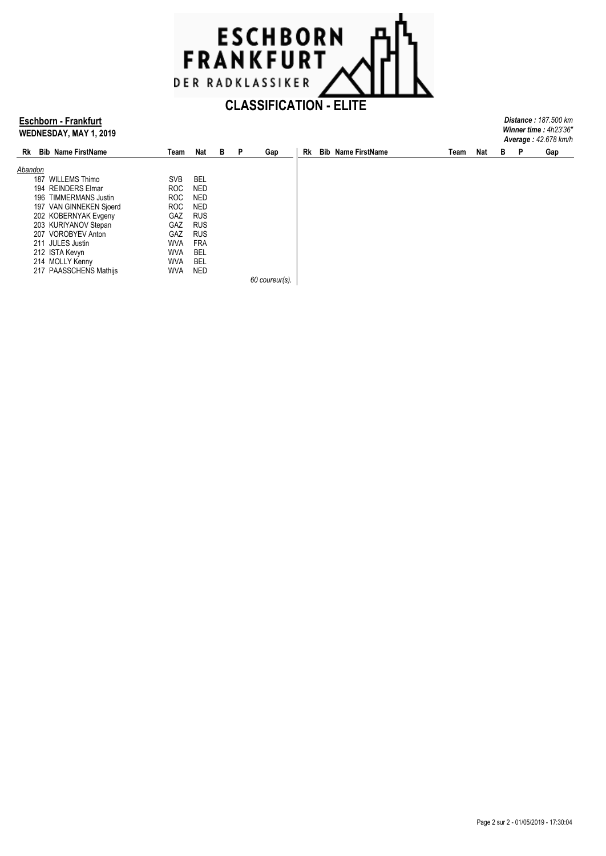

## **Eschborn - Frankfurt WEDNESDAY, MAY 1, 2019**

| <b>Distance: 187.500 km</b> |  |
|-----------------------------|--|
| Winner time: 4h23'36"       |  |
| <b>Average: 42.678 km/h</b> |  |
|                             |  |

| Rk      | <b>Bib Name FirstName</b> | Team       | Nat        | в | P | Gap            | Rk | <b>Bib Name FirstName</b> | Team | Nat | В | Р | Gap |
|---------|---------------------------|------------|------------|---|---|----------------|----|---------------------------|------|-----|---|---|-----|
|         |                           |            |            |   |   |                |    |                           |      |     |   |   |     |
| Abandon |                           |            |            |   |   |                |    |                           |      |     |   |   |     |
| 187     | <b>WILLEMS Thimo</b>      | <b>SVB</b> | <b>BEL</b> |   |   |                |    |                           |      |     |   |   |     |
|         | 194 REINDERS Elmar        | <b>ROC</b> | <b>NED</b> |   |   |                |    |                           |      |     |   |   |     |
|         | 196 TIMMERMANS Justin     | <b>ROC</b> | <b>NED</b> |   |   |                |    |                           |      |     |   |   |     |
|         | 197 VAN GINNEKEN Sjoerd   | <b>ROC</b> | <b>NED</b> |   |   |                |    |                           |      |     |   |   |     |
|         | 202 KOBERNYAK Evgeny      | <b>GAZ</b> | <b>RUS</b> |   |   |                |    |                           |      |     |   |   |     |
|         | 203 KURIYANOV Stepan      | GAZ        | <b>RUS</b> |   |   |                |    |                           |      |     |   |   |     |
|         | 207 VOROBYEV Anton        | <b>GAZ</b> | <b>RUS</b> |   |   |                |    |                           |      |     |   |   |     |
|         | 211 JULES Justin          | WVA        | <b>FRA</b> |   |   |                |    |                           |      |     |   |   |     |
|         | 212 ISTA Kevyn            | WVA        | <b>BEL</b> |   |   |                |    |                           |      |     |   |   |     |
|         | 214 MOLLY Kenny           | WVA        | BEL        |   |   |                |    |                           |      |     |   |   |     |
|         | 217 PAASSCHENS Mathijs    | WVA        | <b>NED</b> |   |   |                |    |                           |      |     |   |   |     |
|         |                           |            |            |   |   | 60 coureur(s). |    |                           |      |     |   |   |     |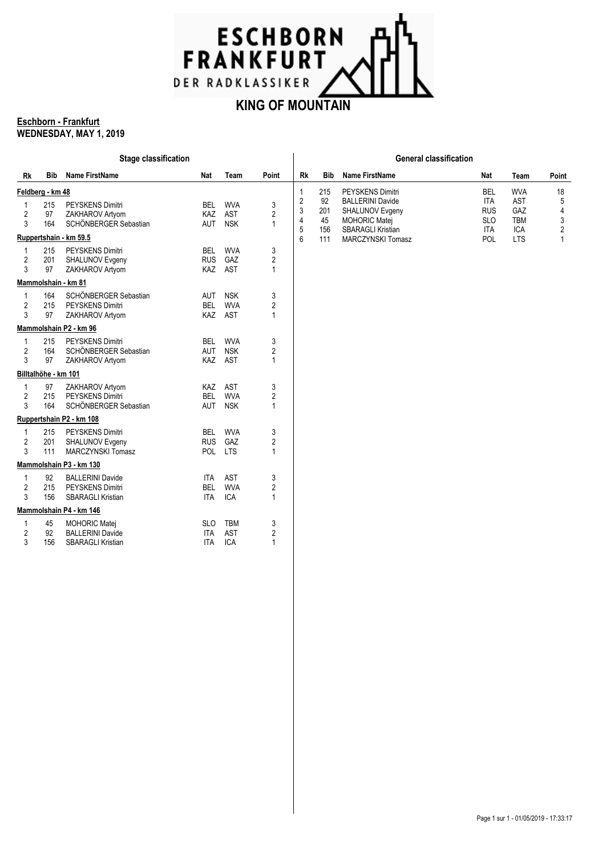

### **Eschborn - Frankfurt WEDNESDAY, MAY 1, 2019**

|    |                      | <b>Stage classification</b> |            |            |                | <b>General classification</b> |            |                                                  |                          |                          |                     |  |  |
|----|----------------------|-----------------------------|------------|------------|----------------|-------------------------------|------------|--------------------------------------------------|--------------------------|--------------------------|---------------------|--|--|
| Rk | Bib                  | <b>Name FirstName</b>       | Nat        | Team       | Point          | Rk                            | <b>Bib</b> | <b>Name FirstName</b>                            | Nat                      | Team                     | Point               |  |  |
|    | Feldberg - km 48     |                             |            |            |                | $\mathbf{1}$                  | 215        | PEYSKENS Dimitri                                 | <b>BEL</b>               | <b>WVA</b>               | 18                  |  |  |
| 1  | 215                  | PEYSKENS Dimitri            | BEL        | <b>WVA</b> | 3              | $\overline{c}$                | 92         | <b>BALLERINI Davide</b>                          | <b>ITA</b>               | <b>AST</b>               | 5                   |  |  |
| 2  | 97                   | ZAKHAROV Artyom             | <b>KAZ</b> | AST        | 2              | 3                             | 201        | SHALUNOV Evgeny                                  | <b>RUS</b>               | GAZ                      | 4                   |  |  |
| 3  | 164                  | SCHÖNBERGER Sebastian       | <b>AUT</b> | <b>NSK</b> | 1              | $\overline{4}$<br>5           | 45<br>156  | <b>MOHORIC Matej</b><br><b>SBARAGLI Kristian</b> | <b>SLO</b><br><b>ITA</b> | <b>TBM</b><br><b>ICA</b> | 3<br>$\overline{2}$ |  |  |
|    |                      | Ruppertshain - km 59.5      |            |            |                | 6                             | 111        | MARCZYNSKI Tomasz                                | <b>POL</b>               | <b>LTS</b>               | $\mathbf{1}$        |  |  |
| 1  | 215                  | <b>PEYSKENS Dimitri</b>     | <b>BEL</b> | <b>WVA</b> | 3              |                               |            |                                                  |                          |                          |                     |  |  |
| 2  | 201                  | SHALUNOV Evgeny             | <b>RUS</b> | GAZ        | 2              |                               |            |                                                  |                          |                          |                     |  |  |
| 3  | 97                   | ZAKHAROV Artyom             |            | KAZ AST    | 1              |                               |            |                                                  |                          |                          |                     |  |  |
|    |                      | Mammolshain - km 81         |            |            |                |                               |            |                                                  |                          |                          |                     |  |  |
| -1 | 164                  | SCHÖNBERGER Sebastian       | AUT        | <b>NSK</b> | 3              |                               |            |                                                  |                          |                          |                     |  |  |
| 2  | 215                  | PEYSKENS Dimitri            | <b>BEL</b> | <b>WVA</b> | 2              |                               |            |                                                  |                          |                          |                     |  |  |
| 3  | 97                   | ZAKHAROV Artyom             | KAZ        | <b>AST</b> | $\mathbf{1}$   |                               |            |                                                  |                          |                          |                     |  |  |
|    |                      | Mammolshain P2 - km 96      |            |            |                |                               |            |                                                  |                          |                          |                     |  |  |
| 1  | 215                  | <b>PEYSKENS Dimitri</b>     | <b>BEL</b> | <b>WVA</b> | 3              |                               |            |                                                  |                          |                          |                     |  |  |
| 2  | 164                  | SCHÖNBERGER Sebastian       | <b>AUT</b> | <b>NSK</b> | 2              |                               |            |                                                  |                          |                          |                     |  |  |
| 3  | 97                   | ZAKHAROV Artyom             | KAZ        | AST        | 1              |                               |            |                                                  |                          |                          |                     |  |  |
|    | Billtalhöhe - km 101 |                             |            |            |                |                               |            |                                                  |                          |                          |                     |  |  |
| 1  | 97                   | ZAKHAROV Artyom             | KAZ        | AST        | 3              |                               |            |                                                  |                          |                          |                     |  |  |
| 2  | 215                  | <b>PEYSKENS Dimitri</b>     | <b>BEL</b> | <b>WVA</b> | 2              |                               |            |                                                  |                          |                          |                     |  |  |
| 3  | 164                  | SCHÖNBERGER Sebastian       | <b>AUT</b> | <b>NSK</b> | 1              |                               |            |                                                  |                          |                          |                     |  |  |
|    |                      | Ruppertshain P2 - km 108    |            |            |                |                               |            |                                                  |                          |                          |                     |  |  |
| 1  | 215                  | PEYSKENS Dimitri            | <b>BEL</b> | <b>WVA</b> | 3              |                               |            |                                                  |                          |                          |                     |  |  |
| 2  | 201                  | SHALUNOV Evgeny             | <b>RUS</b> | GAZ        | $\overline{c}$ |                               |            |                                                  |                          |                          |                     |  |  |
| 3  | 111                  | <b>MARCZYNSKI Tomasz</b>    | POL        | <b>LTS</b> | 1              |                               |            |                                                  |                          |                          |                     |  |  |
|    |                      | Mammolshain P3 - km 130     |            |            |                |                               |            |                                                  |                          |                          |                     |  |  |
| 1  | 92                   | <b>BALLERINI Davide</b>     | ITA        | AST        | 3              |                               |            |                                                  |                          |                          |                     |  |  |
| 2  | 215                  | <b>PEYSKENS Dimitri</b>     | <b>BEL</b> | <b>WVA</b> | 2              |                               |            |                                                  |                          |                          |                     |  |  |
| 3  | 156                  | <b>SBARAGLI Kristian</b>    | <b>ITA</b> | <b>ICA</b> | 1              |                               |            |                                                  |                          |                          |                     |  |  |
|    |                      | Mammolshain P4 - km 146     |            |            |                |                               |            |                                                  |                          |                          |                     |  |  |
| 1  | 45                   | <b>MOHORIC Matej</b>        | <b>SLO</b> | <b>TBM</b> | 3              |                               |            |                                                  |                          |                          |                     |  |  |
| 2  | 92                   | <b>BALLERINI Davide</b>     | <b>ITA</b> | <b>AST</b> | 2              |                               |            |                                                  |                          |                          |                     |  |  |
| 3  | 156                  | <b>SBARAGLI Kristian</b>    | <b>ITA</b> | <b>ICA</b> | $\mathbf{1}$   |                               |            |                                                  |                          |                          |                     |  |  |
|    |                      |                             |            |            |                |                               |            |                                                  |                          |                          |                     |  |  |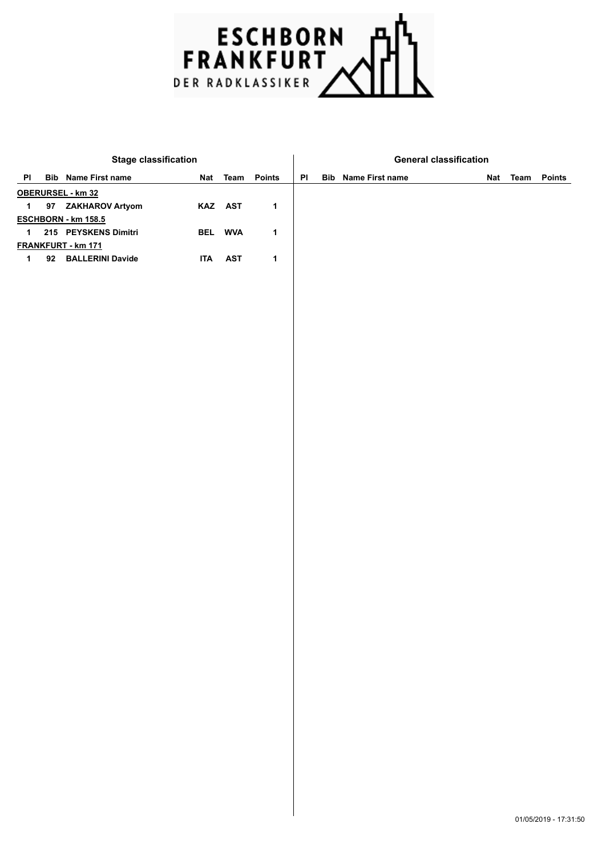

|             | <b>Stage classification</b> |            |            |             |    | <b>General classification</b> |  |                 |
|-------------|-----------------------------|------------|------------|-------------|----|-------------------------------|--|-----------------|
| PI          | <b>Bib</b> Name First name  |            | Nat Team   | Points      | PI | <b>Bib</b> Name First name    |  | Nat Team Points |
|             | OBERURSEL - km 32           |            |            |             |    |                               |  |                 |
| $\mathbf 1$ | 97 ZAKHAROV Artyom          |            | KAZ AST    | $\mathbf 1$ |    |                               |  |                 |
|             | ESCHBORN - km 158.5         |            |            |             |    |                               |  |                 |
| $\mathbf 1$ | 215 PEYSKENS Dimitri        |            | BEL WVA    | 1           |    |                               |  |                 |
|             | <b>FRANKFURT - km 171</b>   |            |            |             |    |                               |  |                 |
| $\mathbf 1$ | 92 BALLERINI Davide         | <b>ITA</b> | <b>AST</b> | 1           |    |                               |  |                 |
|             |                             |            |            |             |    |                               |  |                 |
|             |                             |            |            |             |    |                               |  |                 |
|             |                             |            |            |             |    |                               |  |                 |
|             |                             |            |            |             |    |                               |  |                 |
|             |                             |            |            |             |    |                               |  |                 |
|             |                             |            |            |             |    |                               |  |                 |
|             |                             |            |            |             |    |                               |  |                 |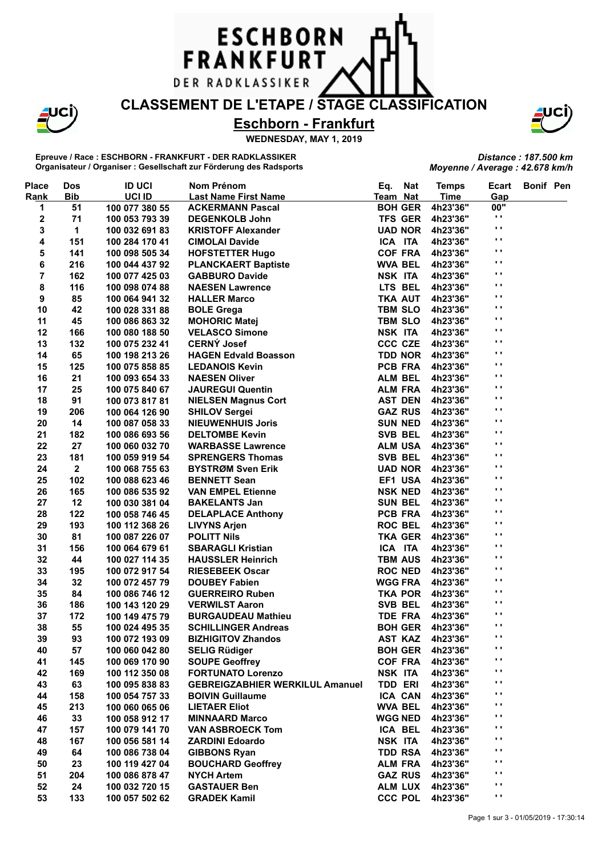## **CLASSEMENT DE L'ETAPE / STAGE CLASSIFICATION**

**ESCHBORN** 

FRANKFURT

DER RADKLASSIKER

**Eschborn - Frankfurt**

**WEDNESDAY, MAY 1, 2019**

**Epreuve / Race : ESCHBORN - FRANKFURT - DER RADKLASSIKER Organisateur / Organiser : Gesellschaft zur Förderung des Radsports**

| <b>Place</b> | <b>Dos</b>              | <b>ID UCI</b>  | Nom Prénom                             | <b>Nat</b><br>Eq. | <b>Temps</b> | <b>Ecart</b>        | Bonif Pen |  |
|--------------|-------------------------|----------------|----------------------------------------|-------------------|--------------|---------------------|-----------|--|
| Rank         | <b>Bib</b>              | UCI ID         | <b>Last Name First Name</b>            | Team Nat          | <b>Time</b>  | Gap                 |           |  |
| 1            | 51                      | 100 077 380 55 | <b>ACKERMANN Pascal</b>                | <b>BOH GER</b>    | 4h23'36"     | 00"                 |           |  |
| 2            | 71                      | 100 053 793 39 | <b>DEGENKOLB John</b>                  | <b>TFS GER</b>    | 4h23'36"     | $\cdot$ ,           |           |  |
| 3            | 1                       | 100 032 691 83 | <b>KRISTOFF Alexander</b>              | <b>UAD NOR</b>    | 4h23'36"     | $\blacksquare$      |           |  |
| 4            | 151                     | 100 284 170 41 | <b>CIMOLAI Davide</b>                  | ICA ITA           | 4h23'36"     | $\blacksquare$      |           |  |
| 5            | 141                     | 100 098 505 34 | <b>HOFSTETTER Hugo</b>                 | <b>COF FRA</b>    | 4h23'36"     | $\blacksquare$      |           |  |
| 6            | 216                     | 100 044 437 92 | <b>PLANCKAERT Baptiste</b>             | <b>WVA BEL</b>    | 4h23'36"     | $\blacksquare$      |           |  |
| 7            | 162                     | 100 077 425 03 | <b>GABBURO Davide</b>                  | NSK ITA           | 4h23'36"     | $\bullet$ $\bullet$ |           |  |
| 8            | 116                     | 100 098 074 88 | <b>NAESEN Lawrence</b>                 | LTS BEL           | 4h23'36"     | $\mathbf{r}$        |           |  |
| 9            | 85                      | 100 064 941 32 | <b>HALLER Marco</b>                    | <b>TKA AUT</b>    | 4h23'36"     | $\mathbf{r}$        |           |  |
| 10           | 42                      | 100 028 331 88 | <b>BOLE Grega</b>                      | <b>TBM SLO</b>    | 4h23'36"     | $\mathbf{r}$        |           |  |
| 11           | 45                      | 100 086 863 32 | <b>MOHORIC Matej</b>                   | <b>TBM SLO</b>    | 4h23'36"     | $\mathbf{r}$        |           |  |
| 12           | 166                     | 100 080 188 50 | <b>VELASCO Simone</b>                  | NSK ITA           | 4h23'36"     | $\blacksquare$      |           |  |
| 13           | 132                     | 100 075 232 41 | <b>CERNÝ Josef</b>                     | <b>CCC CZE</b>    | 4h23'36"     | $\mathbf{r}$        |           |  |
| 14           | 65                      | 100 198 213 26 | <b>HAGEN Edvald Boasson</b>            | TDD NOR           | 4h23'36"     | $\mathbf{r}$        |           |  |
| 15           | 125                     | 100 075 858 85 | <b>LEDANOIS Kevin</b>                  | PCB FRA           | 4h23'36"     | $\mathbf{r}$        |           |  |
| 16           | 21                      | 100 093 654 33 | <b>NAESEN Oliver</b>                   | <b>ALM BEL</b>    | 4h23'36"     | $\blacksquare$      |           |  |
| 17           | 25                      | 100 075 840 67 | <b>JAUREGUI Quentin</b>                | <b>ALM FRA</b>    | 4h23'36"     | $\blacksquare$      |           |  |
| 18           | 91                      | 100 073 817 81 | <b>NIELSEN Magnus Cort</b>             | <b>AST DEN</b>    | 4h23'36"     | $\blacksquare$      |           |  |
| 19           | 206                     | 100 064 126 90 | <b>SHILOV Sergei</b>                   | <b>GAZ RUS</b>    | 4h23'36"     | $\blacksquare$      |           |  |
| 20           | 14                      | 100 087 058 33 | <b>NIEUWENHUIS Joris</b>               | <b>SUN NED</b>    | 4h23'36"     | $\blacksquare$      |           |  |
| 21           | 182                     | 100 086 693 56 | <b>DELTOMBE Kevin</b>                  | SVB BEL           | 4h23'36"     | $\bullet$ $\bullet$ |           |  |
| 22           | 27                      | 100 060 032 70 | <b>WARBASSE Lawrence</b>               | <b>ALM USA</b>    | 4h23'36"     | $\bullet$ $\bullet$ |           |  |
| 23           | 181                     | 100 059 919 54 | <b>SPRENGERS Thomas</b>                | SVB BEL           | 4h23'36"     | $\mathbf{r}$        |           |  |
| 24           | $\overline{\mathbf{2}}$ | 100 068 755 63 | <b>BYSTRØM Sven Erik</b>               | <b>UAD NOR</b>    | 4h23'36"     | $\mathbf{r}$        |           |  |
| 25           | 102                     | 100 088 623 46 | <b>BENNETT Sean</b>                    | EF1 USA           | 4h23'36"     | $\mathbf{r}$        |           |  |
| 26           | 165                     | 100 086 535 92 | <b>VAN EMPEL Etienne</b>               | <b>NSK NED</b>    | 4h23'36"     | $\mathbf{r}$        |           |  |
| 27           | 12                      | 100 030 381 04 | <b>BAKELANTS Jan</b>                   | <b>SUN BEL</b>    | 4h23'36"     | $\mathbf{r}$        |           |  |
| 28           | 122                     | 100 058 746 45 | <b>DELAPLACE Anthony</b>               | PCB FRA           | 4h23'36"     | $\mathbf{r}$        |           |  |
| 29           | 193                     | 100 112 368 26 | <b>LIVYNS Arjen</b>                    | <b>ROC BEL</b>    | 4h23'36"     | $\mathbf{r}$        |           |  |
| 30           | 81                      | 100 087 226 07 | <b>POLITT Nils</b>                     | <b>TKA GER</b>    | 4h23'36"     | $\mathbf{r}$        |           |  |
| 31           | 156                     | 100 064 679 61 | <b>SBARAGLI Kristian</b>               | ICA ITA           | 4h23'36"     | $\blacksquare$      |           |  |
| 32           | 44                      | 100 027 114 35 | <b>HAUSSLER Heinrich</b>               | <b>TBM AUS</b>    | 4h23'36"     | $\blacksquare$      |           |  |
| 33           | 195                     | 100 072 917 54 | <b>RIESEBEEK Oscar</b>                 | <b>ROC NED</b>    | 4h23'36"     | $\bullet$ $\bullet$ |           |  |
| 34           | 32                      | 100 072 457 79 | <b>DOUBEY Fabien</b>                   | <b>WGG FRA</b>    | 4h23'36"     | $\blacksquare$      |           |  |
| 35           | 84                      | 100 086 746 12 | <b>GUERREIRO Ruben</b>                 | <b>TKA POR</b>    | 4h23'36"     | $\bullet$ $\bullet$ |           |  |
| 36           | 186                     | 100 143 120 29 | <b>VERWILST Aaron</b>                  | SVB BEL           | 4h23'36"     | $\bullet$ $\bullet$ |           |  |
| 37           | 172                     | 100 149 475 79 | <b>BURGAUDEAU Mathieu</b>              | <b>TDE FRA</b>    | 4h23'36"     | $\bullet$ $\bullet$ |           |  |
| 38           | 55                      | 100 024 495 35 | <b>SCHILLINGER Andreas</b>             | <b>BOH GER</b>    | 4h23'36"     | $\cdots$            |           |  |
| 39           | 93                      | 100 072 193 09 | <b>BIZHIGITOV Zhandos</b>              | <b>AST KAZ</b>    | 4h23'36"     | . .                 |           |  |
| 40           | 57                      | 100 060 042 80 | <b>SELIG Rüdiger</b>                   | <b>BOH GER</b>    | 4h23'36"     | $\blacksquare$      |           |  |
| 41           | 145                     | 100 069 170 90 | <b>SOUPE Geoffrey</b>                  | <b>COF FRA</b>    | 4h23'36"     | $\blacksquare$      |           |  |
| 42           | 169                     | 100 112 350 08 | <b>FORTUNATO Lorenzo</b>               | NSK ITA           | 4h23'36"     | $\cdot$             |           |  |
| 43           | 63                      | 100 095 838 83 | <b>GEBREIGZABHIER WERKILUL Amanuel</b> | <b>TDD ERI</b>    | 4h23'36"     | $\blacksquare$      |           |  |
| 44           | 158                     | 100 054 757 33 | <b>BOIVIN Guillaume</b>                | ICA CAN           | 4h23'36"     | .,                  |           |  |
| 45           | 213                     | 100 060 065 06 | <b>LIETAER Eliot</b>                   | <b>WVA BEL</b>    | 4h23'36"     | $\cdot$             |           |  |
| 46           | 33                      | 100 058 912 17 | <b>MINNAARD Marco</b>                  | <b>WGG NED</b>    | 4h23'36"     | $\cdot$             |           |  |
| 47           | 157                     | 100 079 141 70 | <b>VAN ASBROECK Tom</b>                | ICA BEL           | 4h23'36"     | $\cdot$             |           |  |
| 48           | 167                     | 100 056 581 14 | <b>ZARDINI Edoardo</b>                 | NSK ITA           | 4h23'36"     | $\cdot$             |           |  |
| 49           | 64                      | 100 086 738 04 | <b>GIBBONS Ryan</b>                    | <b>TDD RSA</b>    | 4h23'36"     | $\blacksquare$      |           |  |
| 50           | 23                      | 100 119 427 04 | <b>BOUCHARD Geoffrey</b>               | <b>ALM FRA</b>    | 4h23'36"     | $\blacksquare$      |           |  |
| 51           | 204                     | 100 086 878 47 | <b>NYCH Artem</b>                      | <b>GAZ RUS</b>    | 4h23'36"     | $\blacksquare$      |           |  |
| 52           | 24                      | 100 032 720 15 | <b>GASTAUER Ben</b>                    | <b>ALM LUX</b>    | 4h23'36"     | $\blacksquare$      |           |  |
| 53           | 133                     | 100 057 502 62 | <b>GRADEK Kamil</b>                    | <b>CCC POL</b>    | 4h23'36"     | $\bullet$ .         |           |  |
|              |                         |                |                                        |                   |              |                     |           |  |



*Distance : 187.500 km Moyenne / Average : 42.678 km/h*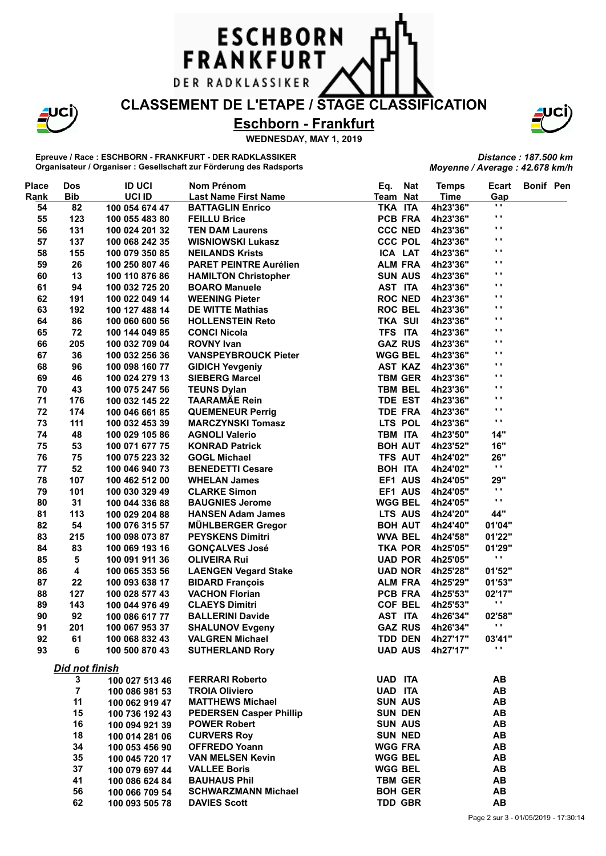# **CLASSEMENT DE L'ETAPE / STAGE CLASSIFICATION**

**ESCHBORN** 

FRANKFURT

DER RADKLASSIKER

**Eschborn - Frankfurt**

**WEDNESDAY, MAY 1, 2019**

**Epreuve / Race : ESCHBORN - FRANKFURT - DER RADKLASSIKER Organisateur / Organiser : Gesellschaft zur Förderung des Radsports**

|                                 | Distance: 187.500 km |  |
|---------------------------------|----------------------|--|
| Moyenne / Average : 42.678 km/h |                      |  |

| <b>Place</b> | <b>Dos</b>     | <b>ID UCI</b>  | Nom Prénom                     | Eq.            | <b>Nat</b>     | <b>Temps</b>            | Ecart          | <b>Bonif Pen</b> |  |
|--------------|----------------|----------------|--------------------------------|----------------|----------------|-------------------------|----------------|------------------|--|
| Rank         | <b>Bib</b>     | UCI ID         | <b>Last Name First Name</b>    | Team Nat       |                | <b>Time</b>             | Gap            |                  |  |
| 54           | 82             | 100 054 674 47 | <b>BATTAGLIN Enrico</b>        | TKA ITA        |                | 4h23'36"                | o,             |                  |  |
| 55           | 123            | 100 055 483 80 | <b>FEILLU Brice</b>            | PCB FRA        |                | 4h23'36"                | $\blacksquare$ |                  |  |
| 56           | 131            | 100 024 201 32 | <b>TEN DAM Laurens</b>         | <b>CCC NED</b> |                | 4h23'36"                | $\mathbf{r}$ . |                  |  |
| 57           | 137            | 100 068 242 35 | <b>WISNIOWSKI Lukasz</b>       | <b>CCC POL</b> |                | 4h23'36"                | Ω.             |                  |  |
| 58           | 155            | 100 079 350 85 | <b>NEILANDS Krists</b>         | ICA LAT        |                | 4h23'36"                | .,             |                  |  |
| 59           | 26             | 100 250 807 46 | <b>PARET PEINTRE Aurélien</b>  | <b>ALM FRA</b> |                | 4h23'36"                | .,             |                  |  |
| 60           | 13             | 100 110 876 86 | <b>HAMILTON Christopher</b>    | <b>SUN AUS</b> |                | 4h23'36"                | .,             |                  |  |
| 61           | 94             | 100 032 725 20 | <b>BOARO Manuele</b>           | AST ITA        |                | 4h23'36"                | Ω.             |                  |  |
| 62           | 191            | 100 022 049 14 | <b>WEENING Pieter</b>          | <b>ROC NED</b> |                | 4h23'36"                | Ω.             |                  |  |
| 63           | 192            | 100 127 488 14 | <b>DE WITTE Mathias</b>        | <b>ROC BEL</b> |                | 4h23'36"                | Ω.             |                  |  |
| 64           | 86             | 100 060 600 56 | <b>HOLLENSTEIN Reto</b>        | <b>TKA SUI</b> |                | 4h23'36"                | Ω.             |                  |  |
| 65           | 72             | 100 144 049 85 | <b>CONCI Nicola</b>            | TFS ITA        |                | 4h23'36"                | .,             |                  |  |
| 66           | 205            | 100 032 709 04 | <b>ROVNY Ivan</b>              | <b>GAZ RUS</b> |                | 4h23'36"                | .,             |                  |  |
| 67           | 36             | 100 032 256 36 | <b>VANSPEYBROUCK Pieter</b>    | <b>WGG BEL</b> |                | 4h23'36"                | $\blacksquare$ |                  |  |
| 68           | 96             | 100 098 160 77 | <b>GIDICH Yevgeniy</b>         | <b>AST KAZ</b> |                | 4h23'36"                | Ω.             |                  |  |
| 69           | 46             |                | <b>SIEBERG Marcel</b>          | <b>TBM GER</b> |                |                         | .,             |                  |  |
|              |                | 100 024 279 13 |                                |                |                | 4h23'36"                | $\mathbf{r}$   |                  |  |
| 70           | 43             | 100 075 247 56 | <b>TEUNS Dylan</b>             | <b>TBM BEL</b> |                | 4h23'36"                | Ω.             |                  |  |
| 71           | 176            | 100 032 145 22 | <b>TAARAMÄE Rein</b>           | <b>TDE EST</b> |                | 4h23'36"                | .,             |                  |  |
| 72           | 174            | 100 046 661 85 | <b>QUEMENEUR Perrig</b>        | <b>TDE FRA</b> |                | 4h23'36"                | $\blacksquare$ |                  |  |
| 73           | 111            | 100 032 453 39 | <b>MARCZYNSKI Tomasz</b>       |                | LTS POL        | 4h23'36"                |                |                  |  |
| 74           | 48             | 100 029 105 86 | <b>AGNOLI Valerio</b>          | TBM ITA        |                | 4h23'50"                | 14"            |                  |  |
| 75           | 53             | 100 071 677 75 | <b>KONRAD Patrick</b>          | <b>BOH AUT</b> |                | 4h23'52"                | 16"            |                  |  |
| 76           | 75             | 100 075 223 32 | <b>GOGL Michael</b>            | <b>TFS AUT</b> |                | 4h24'02"                | 26"            |                  |  |
| 77           | 52             | 100 046 940 73 | <b>BENEDETTI Cesare</b>        | BOH ITA        |                | 4h24'02"                | $\mathbf{r}$   |                  |  |
| 78           | 107            | 100 462 512 00 | <b>WHELAN James</b>            |                | EF1 AUS        | 4h24'05"                | <b>29"</b>     |                  |  |
| 79           | 101            | 100 030 329 49 | <b>CLARKE Simon</b>            |                | EF1 AUS        | 4h24'05"                | $\mathbf{r}$ . |                  |  |
| 80           | 31             | 100 044 336 88 | <b>BAUGNIES Jerome</b>         | <b>WGG BEL</b> |                | 4h24'05"                | $\mathbf{r}$   |                  |  |
| 81           | 113            | 100 029 204 88 | <b>HANSEN Adam James</b>       | LTS AUS        |                | 4h24'20"                | 44"            |                  |  |
| 82           | 54             | 100 076 315 57 | MÜHLBERGER Gregor              | <b>BOH AUT</b> |                | 4h24'40"                | 01'04"         |                  |  |
| 83           | 215            | 100 098 073 87 | <b>PEYSKENS Dimitri</b>        | <b>WVA BEL</b> |                | 4h24'58"                | 01'22"         |                  |  |
| 84           | 83             | 100 069 193 16 | <b>GONÇALVES José</b>          |                | <b>TKA POR</b> | 4h25'05"                | 01'29"         |                  |  |
| 85           | 5              | 100 091 911 36 | <b>OLIVEIRA Rui</b>            |                | <b>UAD POR</b> | 4h25'05"                | .,             |                  |  |
| 86           | 4              | 100 065 353 56 | <b>LAENGEN Vegard Stake</b>    |                | <b>UAD NOR</b> | 4h25'28"                | 01'52"         |                  |  |
| 87           | 22             | 100 093 638 17 | <b>BIDARD François</b>         | <b>ALM FRA</b> |                | 4h25'29"                | 01'53"         |                  |  |
| 88           | 127            | 100 028 577 43 | <b>VACHON Florian</b>          | PCB FRA        |                | 4h25'53"                | 02'17"         |                  |  |
| 89           | 143            | 100 044 976 49 | <b>CLAEYS Dimitri</b>          | <b>COF BEL</b> |                | 4h25'53"                | $\mathbf{r}$   |                  |  |
| 90           | 92             | 100 086 617 77 | <b>BALLERINI Davide</b>        | AST ITA        |                | 4h26'34"                | 02'58"         |                  |  |
| 91           | 201            | 100 067 953 37 | <b>SHALUNOV Evgeny</b>         | <b>GAZ RUS</b> |                | 4h26'34"                | $\mathbf{r}$   |                  |  |
| 92           | 61             | 100 068 832 43 | <b>VALGREN Michael</b>         |                |                | TDD DEN 4h27'17"        | 03'41"         |                  |  |
| 93           | 6              | 100 500 870 43 | <b>SUTHERLAND Rory</b>         |                |                | <b>UAD AUS 4h27'17"</b> | $\cdots$       |                  |  |
|              | Did not finish |                |                                |                |                |                         |                |                  |  |
|              | 3              | 100 027 513 46 | <b>FERRARI Roberto</b>         | <b>UAD ITA</b> |                |                         | AB             |                  |  |
|              | 7              | 100 086 981 53 | <b>TROIA Oliviero</b>          | <b>UAD ITA</b> |                |                         | AB             |                  |  |
|              | 11             | 100 062 919 47 | <b>MATTHEWS Michael</b>        | <b>SUN AUS</b> |                |                         | AB             |                  |  |
|              | 15             | 100 736 192 43 | <b>PEDERSEN Casper Phillip</b> | <b>SUN DEN</b> |                |                         | AB             |                  |  |
|              | 16             | 100 094 921 39 | <b>POWER Robert</b>            | <b>SUN AUS</b> |                |                         | AB             |                  |  |
|              | 18             |                | <b>CURVERS Roy</b>             | <b>SUN NED</b> |                |                         | AB             |                  |  |
|              | 34             | 100 014 281 06 | <b>OFFREDO Yoann</b>           | <b>WGG FRA</b> |                |                         | AB             |                  |  |
|              | 35             | 100 053 456 90 | <b>VAN MELSEN Kevin</b>        | <b>WGG BEL</b> |                |                         | AB             |                  |  |
|              | 37             | 100 045 720 17 | <b>VALLEE Boris</b>            | <b>WGG BEL</b> |                |                         | AB             |                  |  |
|              | 41             | 100 079 697 44 | <b>BAUHAUS Phil</b>            | <b>TBM GER</b> |                |                         | AB             |                  |  |
|              | 56             | 100 086 624 84 | <b>SCHWARZMANN Michael</b>     | <b>BOH GER</b> |                |                         | AB             |                  |  |
|              |                | 100 066 709 54 |                                |                |                |                         |                |                  |  |
|              | 62             | 100 093 505 78 | <b>DAVIES Scott</b>            |                | <b>TDD GBR</b> |                         | AB             |                  |  |

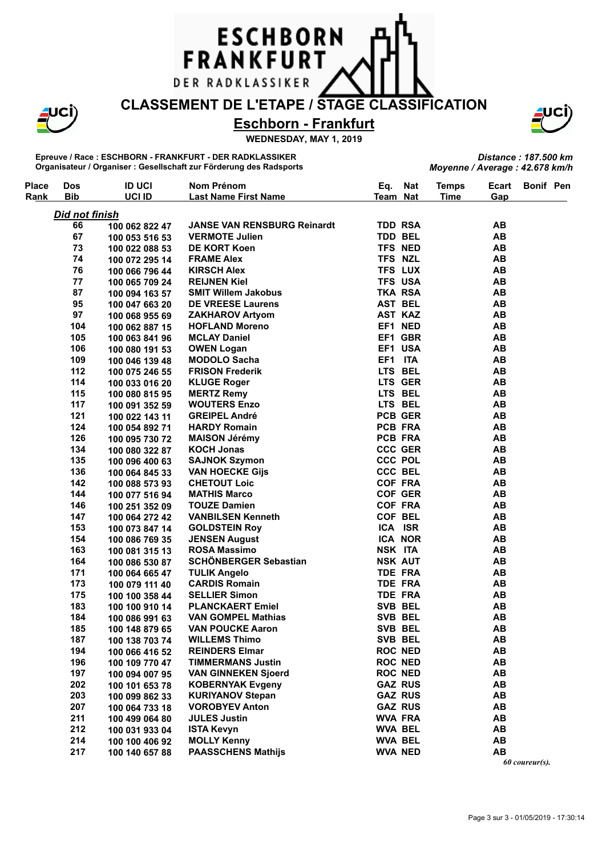**FRANKFURT** 

DER RADKLASSIKER

**ESCHBORN** 

**CLASSEMENT DE L'ETAPE / STAGE CLASSIFICATION**

**Eschborn - Frankfurt**

**WEDNESDAY, MAY 1, 2019**

**Epreuve / Race : ESCHBORN - FRANKFURT - DER RADKLASSIKER Organisateur / Organiser : Gesellschaft zur Förderung des Radsports**

**Nom Prénom**

**Place**

**Dos**

| <b>Place</b> | <b>Dos</b>            | <b>ID UCI</b>  | Nom Prénom                         | Eq.            | <b>Nat</b> | <b>Temps</b> | Ecart                               | <b>Bonif Pen</b> |  |
|--------------|-----------------------|----------------|------------------------------------|----------------|------------|--------------|-------------------------------------|------------------|--|
| Rank         | <b>Bib</b>            | UCI ID         | <b>Last Name First Name</b>        | Team Nat       |            | <b>Time</b>  | Gap                                 |                  |  |
|              | <b>Did not finish</b> |                |                                    |                |            |              |                                     |                  |  |
|              | 66                    | 100 062 822 47 | <b>JANSE VAN RENSBURG Reinardt</b> | <b>TDD RSA</b> |            |              | AB                                  |                  |  |
|              | 67                    | 100 053 516 53 | <b>VERMOTE Julien</b>              | <b>TDD BEL</b> |            |              | AB                                  |                  |  |
|              | 73                    | 100 022 088 53 | <b>DE KORT Koen</b>                | TFS NED        |            |              | AB                                  |                  |  |
|              | 74                    | 100 072 295 14 | <b>FRAME Alex</b>                  | TFS NZL        |            |              | AB                                  |                  |  |
|              | 76                    | 100 066 796 44 | <b>KIRSCH Alex</b>                 | <b>TFS LUX</b> |            |              | AB                                  |                  |  |
|              | 77                    | 100 065 709 24 | <b>REIJNEN Kiel</b>                | <b>TFS USA</b> |            |              | AB                                  |                  |  |
|              | 87                    | 100 094 163 57 | <b>SMIT Willem Jakobus</b>         | TKA RSA        |            |              | AB                                  |                  |  |
|              | 95                    | 100 047 663 20 | <b>DE VREESE Laurens</b>           | <b>AST BEL</b> |            |              | AB                                  |                  |  |
|              | 97                    | 100 068 955 69 | <b>ZAKHAROV Artyom</b>             | <b>AST KAZ</b> |            |              | <b>AB</b>                           |                  |  |
|              | 104                   | 100 062 887 15 | <b>HOFLAND Moreno</b>              | EF1 NED        |            |              | AB                                  |                  |  |
|              | 105                   | 100 063 841 96 | <b>MCLAY Daniel</b>                | EF1 GBR        |            |              | AB                                  |                  |  |
|              | 106                   | 100 080 191 53 | <b>OWEN Logan</b>                  | EF1 USA        |            |              | AB                                  |                  |  |
|              | 109                   | 100 046 139 48 | <b>MODOLO Sacha</b>                | EF1 ITA        |            |              | AB                                  |                  |  |
|              | 112                   | 100 075 246 55 | <b>FRISON Frederik</b>             | LTS BEL        |            |              | AB                                  |                  |  |
|              | 114                   | 100 033 016 20 | <b>KLUGE Roger</b>                 | LTS GER        |            |              | <b>AB</b>                           |                  |  |
|              | 115                   | 100 080 815 95 | <b>MERTZ Remy</b>                  | LTS BEL        |            |              | AB                                  |                  |  |
|              | 117                   | 100 091 352 59 | <b>WOUTERS Enzo</b>                | LTS BEL        |            |              | AB                                  |                  |  |
|              | 121                   | 100 022 143 11 | <b>GREIPEL André</b>               | <b>PCB GER</b> |            |              | AB                                  |                  |  |
|              | 124                   | 100 054 892 71 | <b>HARDY Romain</b>                | PCB FRA        |            |              | AB                                  |                  |  |
|              | 126                   | 100 095 730 72 | <b>MAISON Jérémy</b>               | PCB FRA        |            |              | AB                                  |                  |  |
|              | 134                   | 100 080 322 87 | <b>KOCH Jonas</b>                  | <b>CCC GER</b> |            |              | AB                                  |                  |  |
|              | 135                   | 100 096 400 63 | <b>SAJNOK Szymon</b>               | <b>CCC POL</b> |            |              | AB                                  |                  |  |
|              | 136                   | 100 064 845 33 | <b>VAN HOECKE Gijs</b>             | CCC BEL        |            |              | AB                                  |                  |  |
|              | 142                   | 100 088 573 93 | <b>CHETOUT Loic</b>                | <b>COF FRA</b> |            |              | AB                                  |                  |  |
|              | 144                   | 100 077 516 94 | <b>MATHIS Marco</b>                | <b>COF GER</b> |            |              | AB                                  |                  |  |
|              | 146                   | 100 251 352 09 | <b>TOUZE Damien</b>                | <b>COF FRA</b> |            |              | AB                                  |                  |  |
|              | 147                   | 100 064 272 42 | <b>VANBILSEN Kenneth</b>           | COF BEL        |            |              | AB                                  |                  |  |
|              | 153                   | 100 073 847 14 | <b>GOLDSTEIN Roy</b>               | ICA ISR        |            |              | AB                                  |                  |  |
|              | 154                   | 100 086 769 35 | <b>JENSEN August</b>               | <b>ICA NOR</b> |            |              | AB                                  |                  |  |
|              | 163                   | 100 081 315 13 | <b>ROSA Massimo</b>                | NSK ITA        |            |              | AB                                  |                  |  |
|              | 164                   |                | <b>SCHÖNBERGER Sebastian</b>       | <b>NSK AUT</b> |            |              | AB                                  |                  |  |
|              | 171                   | 100 086 530 87 | <b>TULIK Angelo</b>                | <b>TDE FRA</b> |            |              | AB                                  |                  |  |
|              | 173                   | 100 064 665 47 | <b>CARDIS Romain</b>               | <b>TDE FRA</b> |            |              | AB                                  |                  |  |
|              | 175                   | 100 079 111 40 | <b>SELLIER Simon</b>               | <b>TDE FRA</b> |            |              | AB                                  |                  |  |
|              | 183                   | 100 100 358 44 | <b>PLANCKAERT Emiel</b>            | SVB BEL        |            |              | AB                                  |                  |  |
|              | 184                   | 100 100 910 14 | <b>VAN GOMPEL Mathias</b>          | SVB BEL        |            |              | AB                                  |                  |  |
|              |                       | 100 086 991 63 |                                    |                |            |              |                                     |                  |  |
|              | 185                   | 100 148 879 65 | <b>VAN POUCKE Aaron</b>            | SVB BEL        |            |              | <b>AB</b>                           |                  |  |
|              | 187                   | 100 138 703 74 | <b>WILLEMS Thimo</b>               | SVB BEL        |            |              | $\boldsymbol{\mathsf{A}\mathsf{B}}$ |                  |  |
|              | 194                   | 100 066 416 52 | <b>REINDERS Elmar</b>              | <b>ROC NED</b> |            |              | AB                                  |                  |  |
|              | 196                   | 100 109 770 47 | <b>TIMMERMANS Justin</b>           | <b>ROC NED</b> |            |              | AB                                  |                  |  |
|              | 197                   | 100 094 007 95 | <b>VAN GINNEKEN Sjoerd</b>         | <b>ROC NED</b> |            |              | AB                                  |                  |  |
|              | 202                   | 100 101 653 78 | <b>KOBERNYAK Evgeny</b>            | <b>GAZ RUS</b> |            |              | AB                                  |                  |  |
|              | 203                   | 100 099 862 33 | <b>KURIYANOV Stepan</b>            | <b>GAZ RUS</b> |            |              | AB                                  |                  |  |
|              | 207                   | 100 064 733 18 | <b>VOROBYEV Anton</b>              | <b>GAZ RUS</b> |            |              | AB                                  |                  |  |
|              | 211                   | 100 499 064 80 | <b>JULES Justin</b>                | <b>WVA FRA</b> |            |              | AB                                  |                  |  |
|              | 212                   | 100 031 933 04 | <b>ISTA Kevyn</b>                  | <b>WVA BEL</b> |            |              | AB                                  |                  |  |
|              | 214                   | 100 100 406 92 | <b>MOLLY Kenny</b>                 | <b>WVA BEL</b> |            |              | AB                                  |                  |  |
|              | 217                   | 100 140 657 88 | <b>PAASSCHENS Mathijs</b>          | <b>WVA NED</b> |            |              | AB                                  |                  |  |



*Distance : 187.500 km*

*Moyenne / Average : 42.678 km/h*

**Temps**

*60 coureur(s).*